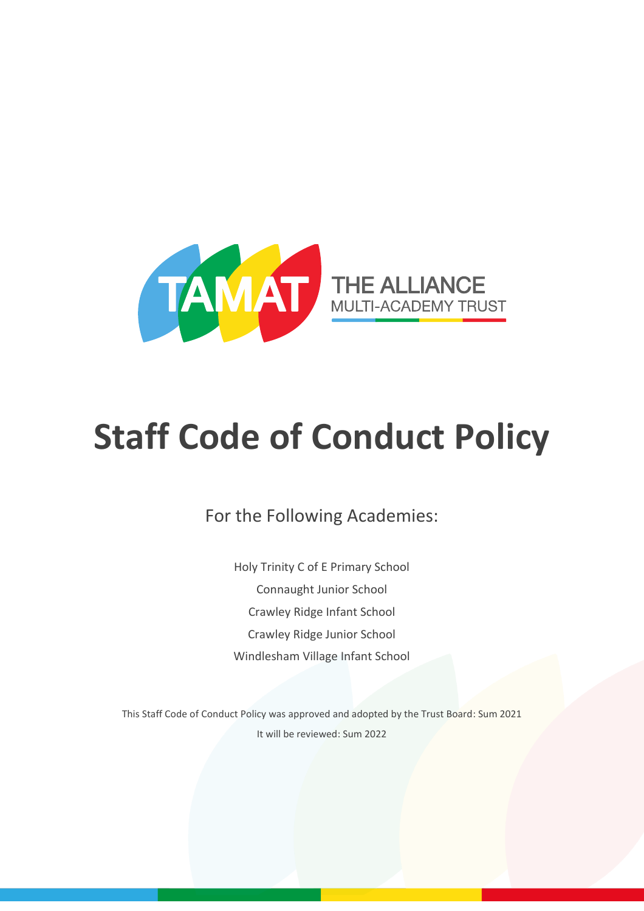

# **Staff Code of Conduct Policy**

For the Following Academies:

Holy Trinity C of E Primary School Connaught Junior School Crawley Ridge Infant School Crawley Ridge Junior School Windlesham Village Infant School

This Staff Code of Conduct Policy was approved and adopted by the Trust Board: Sum 2021 It will be reviewed: Sum 2022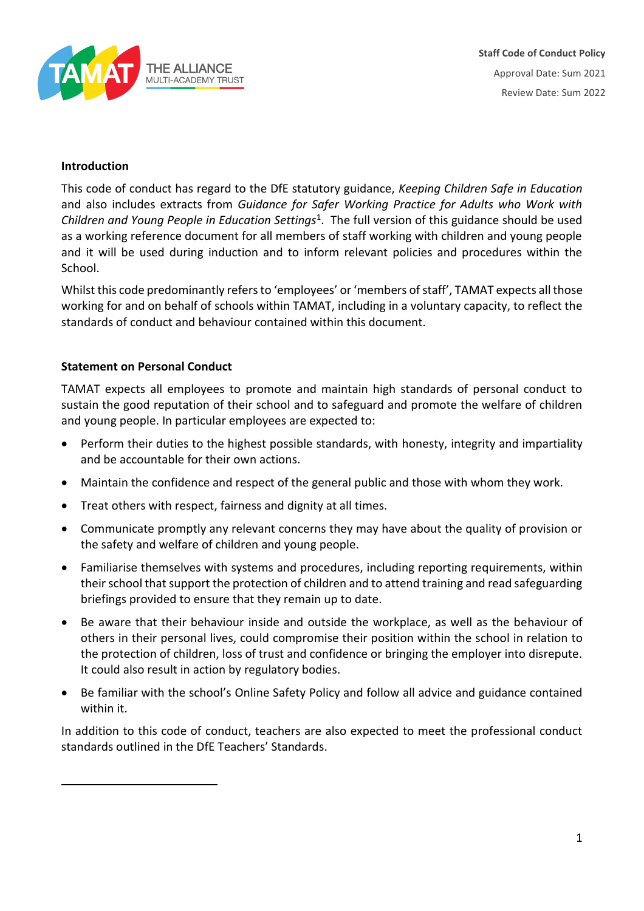

## **Introduction**

This code of conduct has regard to the DfE statutory guidance, *Keeping Children Safe in Education* and also includes extracts from *Guidance for Safer Working Practice for Adults who Work with Children and Young People in Education Settings*<sup>1</sup> . The full version of this guidance should be used as a working reference document for all members of staff working with children and young people and it will be used during induction and to inform relevant policies and procedures within the School.

Whilst this code predominantly refers to 'employees' or 'members of staff', TAMAT expects all those working for and on behalf of schools within TAMAT, including in a voluntary capacity, to reflect the standards of conduct and behaviour contained within this document.

## **Statement on Personal Conduct**

TAMAT expects all employees to promote and maintain high standards of personal conduct to sustain the good reputation of their school and to safeguard and promote the welfare of children and young people. In particular employees are expected to:

- Perform their duties to the highest possible standards, with honesty, integrity and impartiality and be accountable for their own actions.
- Maintain the confidence and respect of the general public and those with whom they work.
- Treat others with respect, fairness and dignity at all times.
- Communicate promptly any relevant concerns they may have about the quality of provision or the safety and welfare of children and young people.
- Familiarise themselves with systems and procedures, including reporting requirements, within their school that support the protection of children and to attend training and read safeguarding briefings provided to ensure that they remain up to date.
- Be aware that their behaviour inside and outside the workplace, as well as the behaviour of others in their personal lives, could compromise their position within the school in relation to the protection of children, loss of trust and confidence or bringing the employer into disrepute. It could also result in action by regulatory bodies.
- Be familiar with the school's Online Safety Policy and follow all advice and guidance contained within it.

In addition to this code of conduct, teachers are also expected to meet the professional conduct standards outlined in the DfE Teachers' Standards.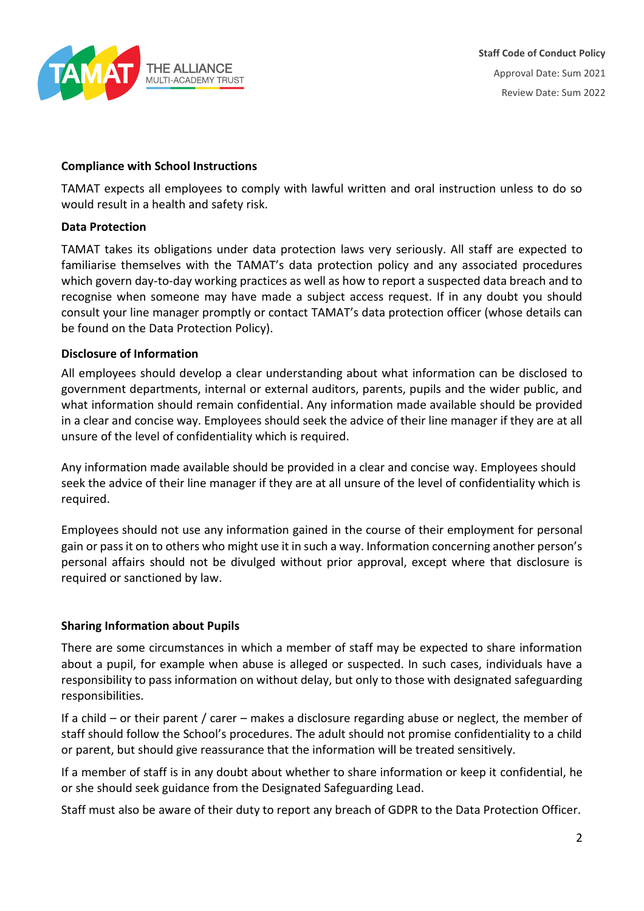

## **Compliance with School Instructions**

TAMAT expects all employees to comply with lawful written and oral instruction unless to do so would result in a health and safety risk.

#### **Data Protection**

TAMAT takes its obligations under data protection laws very seriously. All staff are expected to familiarise themselves with the TAMAT's data protection policy and any associated procedures which govern day-to-day working practices as well as how to report a suspected data breach and to recognise when someone may have made a subject access request. If in any doubt you should consult your line manager promptly or contact TAMAT's data protection officer (whose details can be found on the Data Protection Policy).

## **Disclosure of Information**

All employees should develop a clear understanding about what information can be disclosed to government departments, internal or external auditors, parents, pupils and the wider public, and what information should remain confidential. Any information made available should be provided in a clear and concise way. Employees should seek the advice of their line manager if they are at all unsure of the level of confidentiality which is required.

Any information made available should be provided in a clear and concise way. Employees should seek the advice of their line manager if they are at all unsure of the level of confidentiality which is required.

Employees should not use any information gained in the course of their employment for personal gain or pass it on to others who might use it in such a way. Information concerning another person's personal affairs should not be divulged without prior approval, except where that disclosure is required or sanctioned by law.

## **Sharing Information about Pupils**

There are some circumstances in which a member of staff may be expected to share information about a pupil, for example when abuse is alleged or suspected. In such cases, individuals have a responsibility to pass information on without delay, but only to those with designated safeguarding responsibilities.

If a child – or their parent / carer – makes a disclosure regarding abuse or neglect, the member of staff should follow the School's procedures. The adult should not promise confidentiality to a child or parent, but should give reassurance that the information will be treated sensitively.

If a member of staff is in any doubt about whether to share information or keep it confidential, he or she should seek guidance from the Designated Safeguarding Lead.

Staff must also be aware of their duty to report any breach of GDPR to the Data Protection Officer.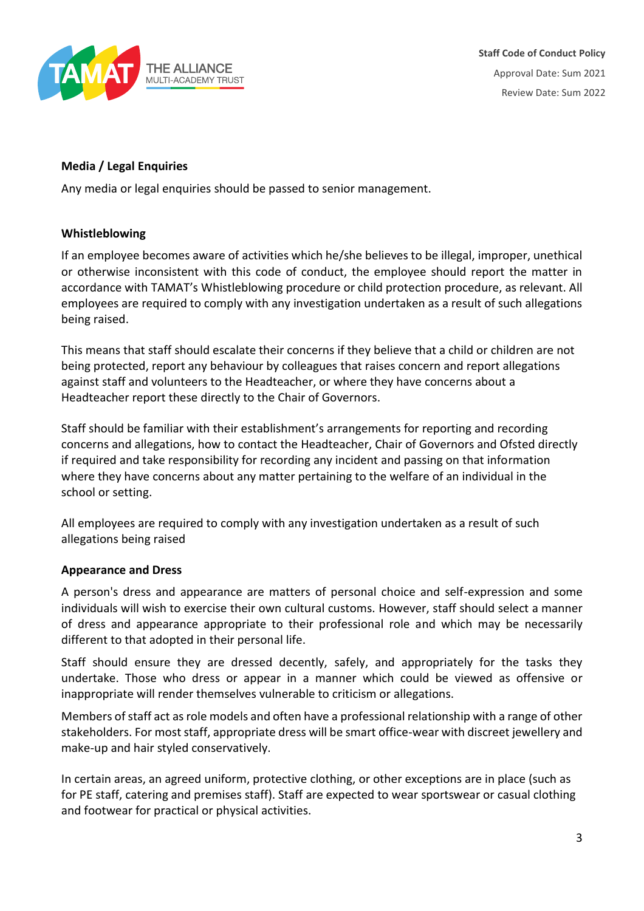

**Staff Code of Conduct Policy** Approval Date: Sum 2021 Review Date: Sum 2022

## **Media / Legal Enquiries**

Any media or legal enquiries should be passed to senior management.

## **Whistleblowing**

If an employee becomes aware of activities which he/she believes to be illegal, improper, unethical or otherwise inconsistent with this code of conduct, the employee should report the matter in accordance with TAMAT's Whistleblowing procedure or child protection procedure, as relevant. All employees are required to comply with any investigation undertaken as a result of such allegations being raised.

This means that staff should escalate their concerns if they believe that a child or children are not being protected, report any behaviour by colleagues that raises concern and report allegations against staff and volunteers to the Headteacher, or where they have concerns about a Headteacher report these directly to the Chair of Governors.

Staff should be familiar with their establishment's arrangements for reporting and recording concerns and allegations, how to contact the Headteacher, Chair of Governors and Ofsted directly if required and take responsibility for recording any incident and passing on that information where they have concerns about any matter pertaining to the welfare of an individual in the school or setting.

All employees are required to comply with any investigation undertaken as a result of such allegations being raised

## **Appearance and Dress**

A person's dress and appearance are matters of personal choice and self-expression and some individuals will wish to exercise their own cultural customs. However, staff should select a manner of dress and appearance appropriate to their professional role and which may be necessarily different to that adopted in their personal life.

Staff should ensure they are dressed decently, safely, and appropriately for the tasks they undertake. Those who dress or appear in a manner which could be viewed as offensive or inappropriate will render themselves vulnerable to criticism or allegations.

Members of staff act as role models and often have a professional relationship with a range of other stakeholders. For most staff, appropriate dress will be smart office-wear with discreet jewellery and make-up and hair styled conservatively.

In certain areas, an agreed uniform, protective clothing, or other exceptions are in place (such as for PE staff, catering and premises staff). Staff are expected to wear sportswear or casual clothing and footwear for practical or physical activities.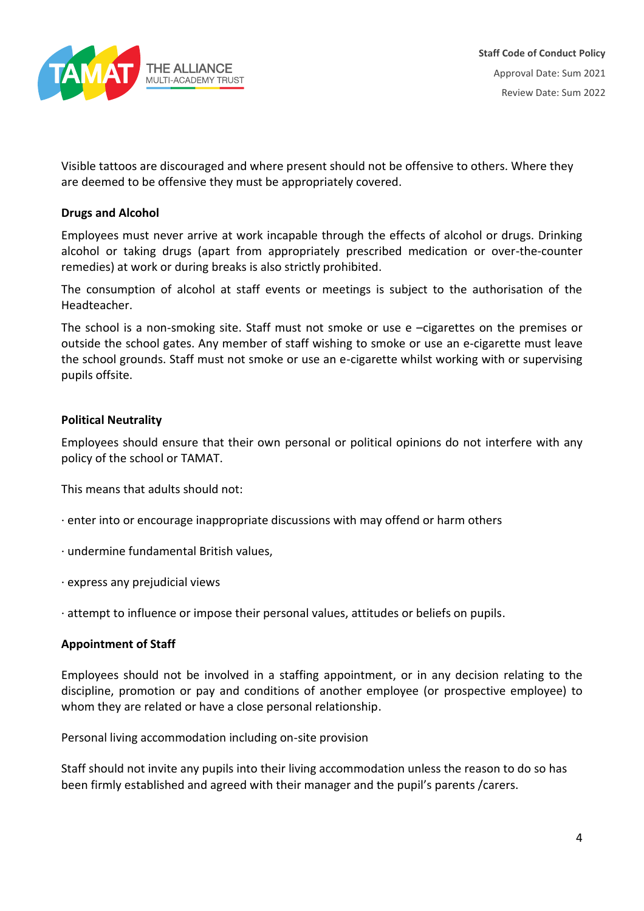

Visible tattoos are discouraged and where present should not be offensive to others. Where they are deemed to be offensive they must be appropriately covered.

## **Drugs and Alcohol**

Employees must never arrive at work incapable through the effects of alcohol or drugs. Drinking alcohol or taking drugs (apart from appropriately prescribed medication or over-the-counter remedies) at work or during breaks is also strictly prohibited.

The consumption of alcohol at staff events or meetings is subject to the authorisation of the Headteacher.

The school is a non-smoking site. Staff must not smoke or use e –cigarettes on the premises or outside the school gates. Any member of staff wishing to smoke or use an e-cigarette must leave the school grounds. Staff must not smoke or use an e-cigarette whilst working with or supervising pupils offsite.

## **Political Neutrality**

Employees should ensure that their own personal or political opinions do not interfere with any policy of the school or TAMAT.

This means that adults should not:

- · enter into or encourage inappropriate discussions with may offend or harm others
- · undermine fundamental British values,
- · express any prejudicial views

· attempt to influence or impose their personal values, attitudes or beliefs on pupils.

## **Appointment of Staff**

Employees should not be involved in a staffing appointment, or in any decision relating to the discipline, promotion or pay and conditions of another employee (or prospective employee) to whom they are related or have a close personal relationship.

Personal living accommodation including on-site provision

Staff should not invite any pupils into their living accommodation unless the reason to do so has been firmly established and agreed with their manager and the pupil's parents /carers.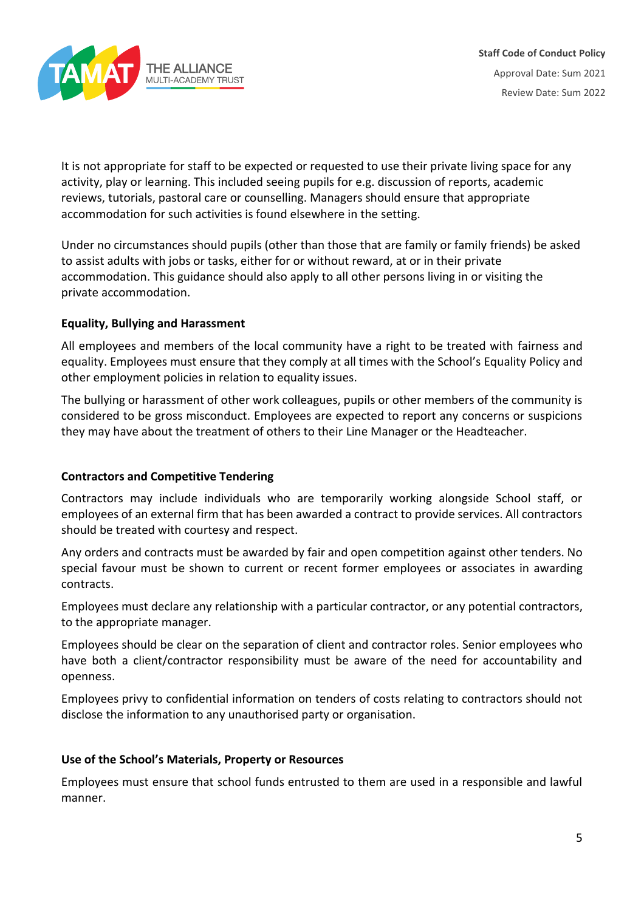

It is not appropriate for staff to be expected or requested to use their private living space for any activity, play or learning. This included seeing pupils for e.g. discussion of reports, academic reviews, tutorials, pastoral care or counselling. Managers should ensure that appropriate accommodation for such activities is found elsewhere in the setting.

Under no circumstances should pupils (other than those that are family or family friends) be asked to assist adults with jobs or tasks, either for or without reward, at or in their private accommodation. This guidance should also apply to all other persons living in or visiting the private accommodation.

# **Equality, Bullying and Harassment**

All employees and members of the local community have a right to be treated with fairness and equality. Employees must ensure that they comply at all times with the School's Equality Policy and other employment policies in relation to equality issues.

The bullying or harassment of other work colleagues, pupils or other members of the community is considered to be gross misconduct. Employees are expected to report any concerns or suspicions they may have about the treatment of others to their Line Manager or the Headteacher.

# **Contractors and Competitive Tendering**

Contractors may include individuals who are temporarily working alongside School staff, or employees of an external firm that has been awarded a contract to provide services. All contractors should be treated with courtesy and respect.

Any orders and contracts must be awarded by fair and open competition against other tenders. No special favour must be shown to current or recent former employees or associates in awarding contracts.

Employees must declare any relationship with a particular contractor, or any potential contractors, to the appropriate manager.

Employees should be clear on the separation of client and contractor roles. Senior employees who have both a client/contractor responsibility must be aware of the need for accountability and openness.

Employees privy to confidential information on tenders of costs relating to contractors should not disclose the information to any unauthorised party or organisation.

## **Use of the School's Materials, Property or Resources**

Employees must ensure that school funds entrusted to them are used in a responsible and lawful manner.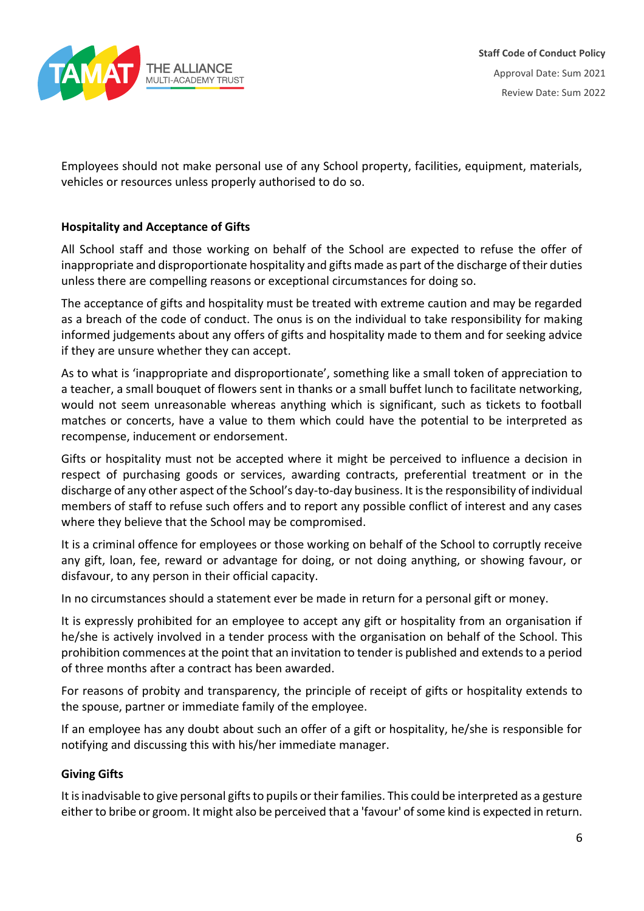

Employees should not make personal use of any School property, facilities, equipment, materials, vehicles or resources unless properly authorised to do so.

# **Hospitality and Acceptance of Gifts**

All School staff and those working on behalf of the School are expected to refuse the offer of inappropriate and disproportionate hospitality and gifts made as part of the discharge of their duties unless there are compelling reasons or exceptional circumstances for doing so.

The acceptance of gifts and hospitality must be treated with extreme caution and may be regarded as a breach of the code of conduct. The onus is on the individual to take responsibility for making informed judgements about any offers of gifts and hospitality made to them and for seeking advice if they are unsure whether they can accept.

As to what is 'inappropriate and disproportionate', something like a small token of appreciation to a teacher, a small bouquet of flowers sent in thanks or a small buffet lunch to facilitate networking, would not seem unreasonable whereas anything which is significant, such as tickets to football matches or concerts, have a value to them which could have the potential to be interpreted as recompense, inducement or endorsement.

Gifts or hospitality must not be accepted where it might be perceived to influence a decision in respect of purchasing goods or services, awarding contracts, preferential treatment or in the discharge of any other aspect of the School's day-to-day business. It is the responsibility of individual members of staff to refuse such offers and to report any possible conflict of interest and any cases where they believe that the School may be compromised.

It is a criminal offence for employees or those working on behalf of the School to corruptly receive any gift, loan, fee, reward or advantage for doing, or not doing anything, or showing favour, or disfavour, to any person in their official capacity.

In no circumstances should a statement ever be made in return for a personal gift or money.

It is expressly prohibited for an employee to accept any gift or hospitality from an organisation if he/she is actively involved in a tender process with the organisation on behalf of the School. This prohibition commences at the point that an invitation to tender is published and extends to a period of three months after a contract has been awarded.

For reasons of probity and transparency, the principle of receipt of gifts or hospitality extends to the spouse, partner or immediate family of the employee.

If an employee has any doubt about such an offer of a gift or hospitality, he/she is responsible for notifying and discussing this with his/her immediate manager.

# **Giving Gifts**

It is inadvisable to give personal gifts to pupils or their families. This could be interpreted as a gesture either to bribe or groom. It might also be perceived that a 'favour' of some kind is expected in return.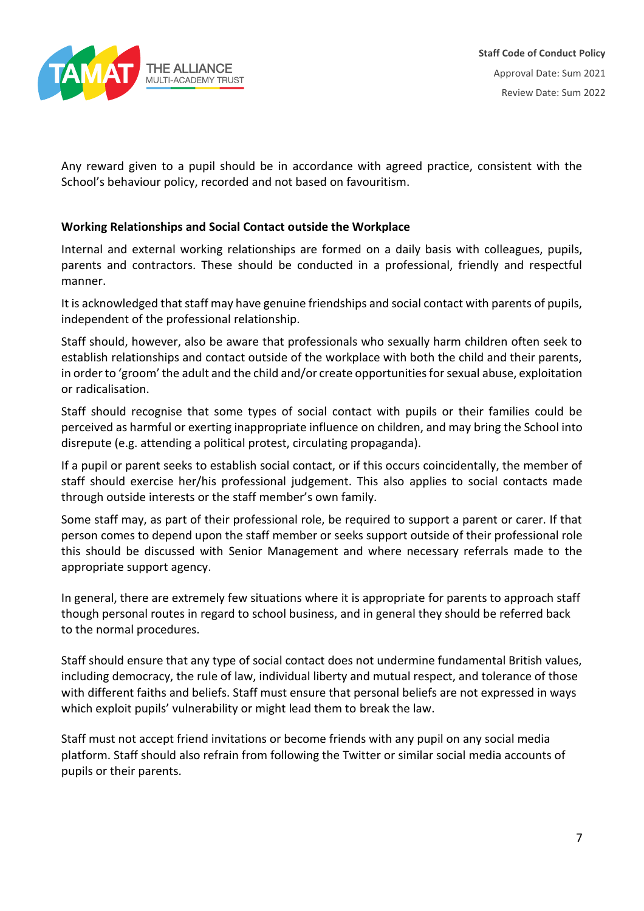

Any reward given to a pupil should be in accordance with agreed practice, consistent with the School's behaviour policy, recorded and not based on favouritism.

# **Working Relationships and Social Contact outside the Workplace**

Internal and external working relationships are formed on a daily basis with colleagues, pupils, parents and contractors. These should be conducted in a professional, friendly and respectful manner.

It is acknowledged that staff may have genuine friendships and social contact with parents of pupils, independent of the professional relationship.

Staff should, however, also be aware that professionals who sexually harm children often seek to establish relationships and contact outside of the workplace with both the child and their parents, in order to 'groom' the adult and the child and/or create opportunities for sexual abuse, exploitation or radicalisation.

Staff should recognise that some types of social contact with pupils or their families could be perceived as harmful or exerting inappropriate influence on children, and may bring the School into disrepute (e.g. attending a political protest, circulating propaganda).

If a pupil or parent seeks to establish social contact, or if this occurs coincidentally, the member of staff should exercise her/his professional judgement. This also applies to social contacts made through outside interests or the staff member's own family.

Some staff may, as part of their professional role, be required to support a parent or carer. If that person comes to depend upon the staff member or seeks support outside of their professional role this should be discussed with Senior Management and where necessary referrals made to the appropriate support agency.

In general, there are extremely few situations where it is appropriate for parents to approach staff though personal routes in regard to school business, and in general they should be referred back to the normal procedures.

Staff should ensure that any type of social contact does not undermine fundamental British values, including democracy, the rule of law, individual liberty and mutual respect, and tolerance of those with different faiths and beliefs. Staff must ensure that personal beliefs are not expressed in ways which exploit pupils' vulnerability or might lead them to break the law.

Staff must not accept friend invitations or become friends with any pupil on any social media platform. Staff should also refrain from following the Twitter or similar social media accounts of pupils or their parents.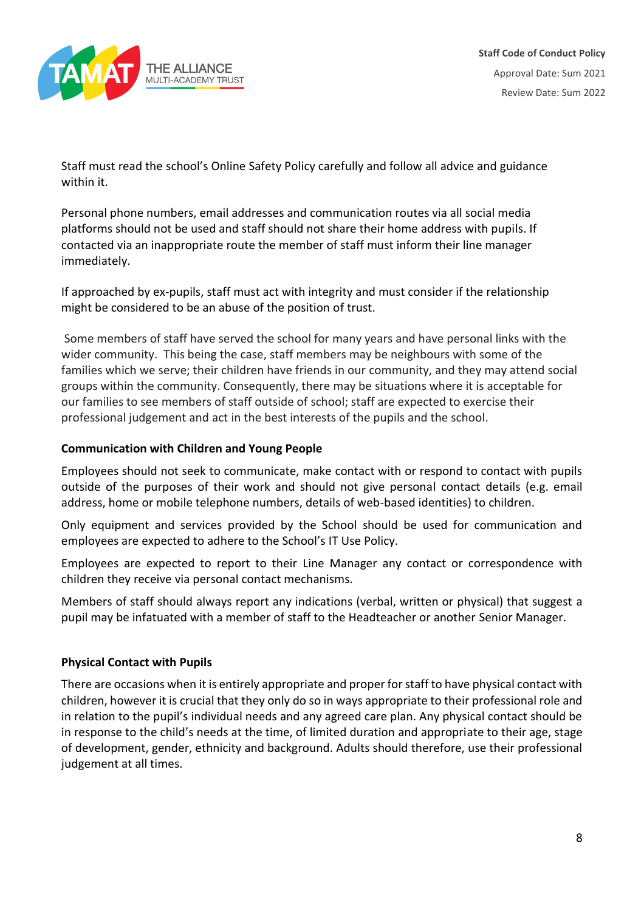

Staff must read the school's Online Safety Policy carefully and follow all advice and guidance within it.

Personal phone numbers, email addresses and communication routes via all social media platforms should not be used and staff should not share their home address with pupils. If contacted via an inappropriate route the member of staff must inform their line manager immediately.

If approached by ex-pupils, staff must act with integrity and must consider if the relationship might be considered to be an abuse of the position of trust.

Some members of staff have served the school for many years and have personal links with the wider community. This being the case, staff members may be neighbours with some of the families which we serve; their children have friends in our community, and they may attend social groups within the community. Consequently, there may be situations where it is acceptable for our families to see members of staff outside of school; staff are expected to exercise their professional judgement and act in the best interests of the pupils and the school.

# **Communication with Children and Young People**

Employees should not seek to communicate, make contact with or respond to contact with pupils outside of the purposes of their work and should not give personal contact details (e.g. email address, home or mobile telephone numbers, details of web-based identities) to children.

Only equipment and services provided by the School should be used for communication and employees are expected to adhere to the School's IT Use Policy.

Employees are expected to report to their Line Manager any contact or correspondence with children they receive via personal contact mechanisms.

Members of staff should always report any indications (verbal, written or physical) that suggest a pupil may be infatuated with a member of staff to the Headteacher or another Senior Manager.

## **Physical Contact with Pupils**

There are occasions when it is entirely appropriate and proper for staff to have physical contact with children, however it is crucial that they only do so in ways appropriate to their professional role and in relation to the pupil's individual needs and any agreed care plan. Any physical contact should be in response to the child's needs at the time, of limited duration and appropriate to their age, stage of development, gender, ethnicity and background. Adults should therefore, use their professional judgement at all times.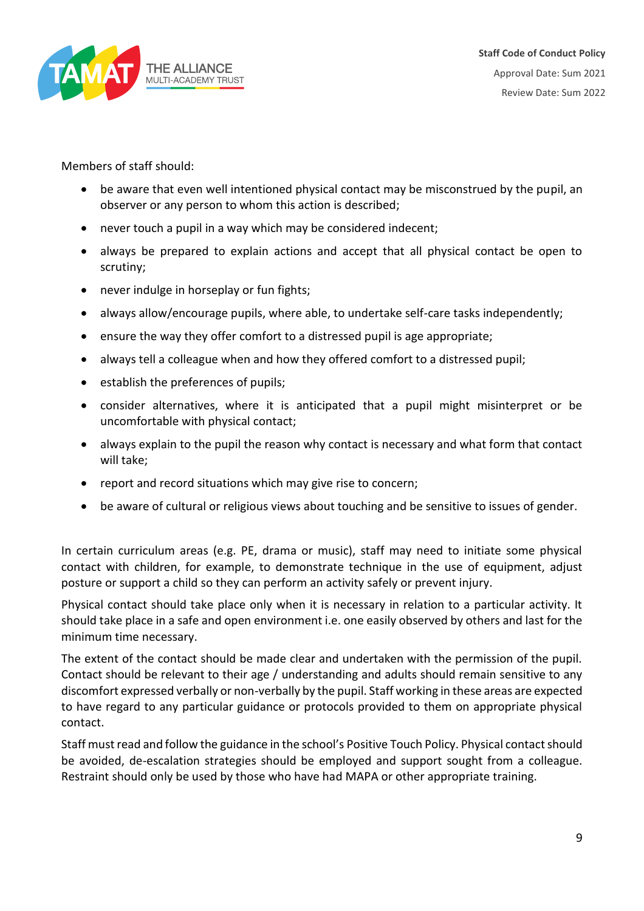

Members of staff should:

- be aware that even well intentioned physical contact may be misconstrued by the pupil, an observer or any person to whom this action is described;
- never touch a pupil in a way which may be considered indecent;
- always be prepared to explain actions and accept that all physical contact be open to scrutiny;
- never indulge in horseplay or fun fights;
- always allow/encourage pupils, where able, to undertake self-care tasks independently;
- ensure the way they offer comfort to a distressed pupil is age appropriate;
- always tell a colleague when and how they offered comfort to a distressed pupil;
- establish the preferences of pupils;
- consider alternatives, where it is anticipated that a pupil might misinterpret or be uncomfortable with physical contact;
- always explain to the pupil the reason why contact is necessary and what form that contact will take;
- report and record situations which may give rise to concern;
- be aware of cultural or religious views about touching and be sensitive to issues of gender.

In certain curriculum areas (e.g. PE, drama or music), staff may need to initiate some physical contact with children, for example, to demonstrate technique in the use of equipment, adjust posture or support a child so they can perform an activity safely or prevent injury.

Physical contact should take place only when it is necessary in relation to a particular activity. It should take place in a safe and open environment i.e. one easily observed by others and last for the minimum time necessary.

The extent of the contact should be made clear and undertaken with the permission of the pupil. Contact should be relevant to their age / understanding and adults should remain sensitive to any discomfort expressed verbally or non-verbally by the pupil. Staff working in these areas are expected to have regard to any particular guidance or protocols provided to them on appropriate physical contact.

Staff must read and follow the guidance in the school's Positive Touch Policy. Physical contact should be avoided, de-escalation strategies should be employed and support sought from a colleague. Restraint should only be used by those who have had MAPA or other appropriate training.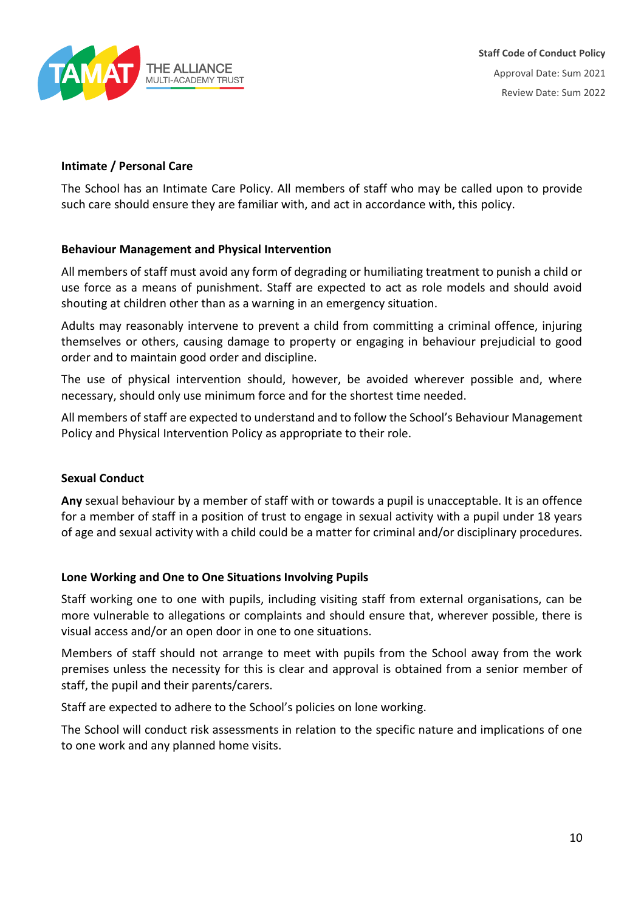

# **Intimate / Personal Care**

The School has an Intimate Care Policy. All members of staff who may be called upon to provide such care should ensure they are familiar with, and act in accordance with, this policy.

## **Behaviour Management and Physical Intervention**

All members of staff must avoid any form of degrading or humiliating treatment to punish a child or use force as a means of punishment. Staff are expected to act as role models and should avoid shouting at children other than as a warning in an emergency situation.

Adults may reasonably intervene to prevent a child from committing a criminal offence, injuring themselves or others, causing damage to property or engaging in behaviour prejudicial to good order and to maintain good order and discipline.

The use of physical intervention should, however, be avoided wherever possible and, where necessary, should only use minimum force and for the shortest time needed.

All members of staff are expected to understand and to follow the School's Behaviour Management Policy and Physical Intervention Policy as appropriate to their role.

## **Sexual Conduct**

**Any** sexual behaviour by a member of staff with or towards a pupil is unacceptable. It is an offence for a member of staff in a position of trust to engage in sexual activity with a pupil under 18 years of age and sexual activity with a child could be a matter for criminal and/or disciplinary procedures.

## **Lone Working and One to One Situations Involving Pupils**

Staff working one to one with pupils, including visiting staff from external organisations, can be more vulnerable to allegations or complaints and should ensure that, wherever possible, there is visual access and/or an open door in one to one situations.

Members of staff should not arrange to meet with pupils from the School away from the work premises unless the necessity for this is clear and approval is obtained from a senior member of staff, the pupil and their parents/carers.

Staff are expected to adhere to the School's policies on lone working.

The School will conduct risk assessments in relation to the specific nature and implications of one to one work and any planned home visits.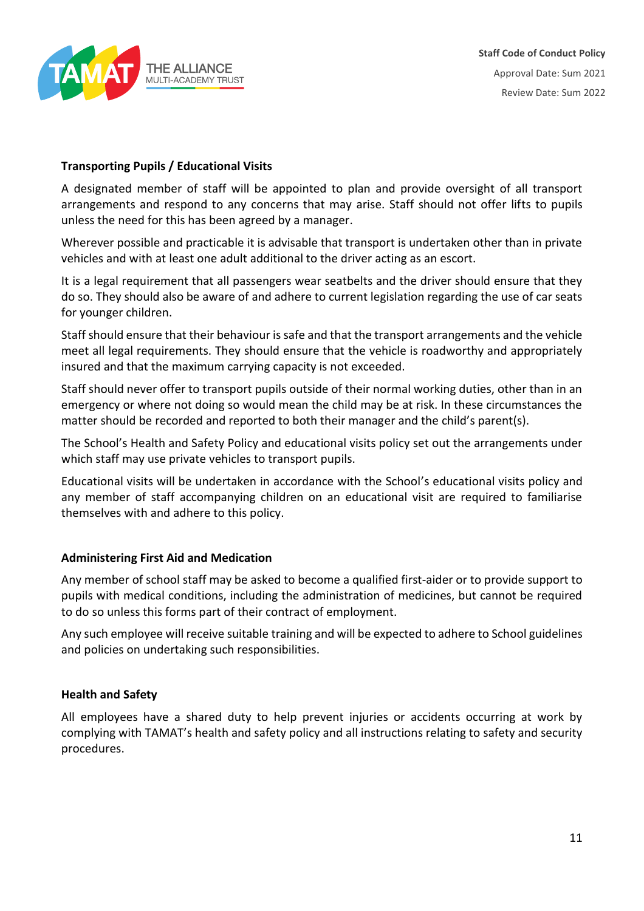

## **Transporting Pupils / Educational Visits**

A designated member of staff will be appointed to plan and provide oversight of all transport arrangements and respond to any concerns that may arise. Staff should not offer lifts to pupils unless the need for this has been agreed by a manager.

Wherever possible and practicable it is advisable that transport is undertaken other than in private vehicles and with at least one adult additional to the driver acting as an escort.

It is a legal requirement that all passengers wear seatbelts and the driver should ensure that they do so. They should also be aware of and adhere to current legislation regarding the use of car seats for younger children.

Staff should ensure that their behaviour is safe and that the transport arrangements and the vehicle meet all legal requirements. They should ensure that the vehicle is roadworthy and appropriately insured and that the maximum carrying capacity is not exceeded.

Staff should never offer to transport pupils outside of their normal working duties, other than in an emergency or where not doing so would mean the child may be at risk. In these circumstances the matter should be recorded and reported to both their manager and the child's parent(s).

The School's Health and Safety Policy and educational visits policy set out the arrangements under which staff may use private vehicles to transport pupils.

Educational visits will be undertaken in accordance with the School's educational visits policy and any member of staff accompanying children on an educational visit are required to familiarise themselves with and adhere to this policy.

## **Administering First Aid and Medication**

Any member of school staff may be asked to become a qualified first-aider or to provide support to pupils with medical conditions, including the administration of medicines, but cannot be required to do so unless this forms part of their contract of employment.

Any such employee will receive suitable training and will be expected to adhere to School guidelines and policies on undertaking such responsibilities.

## **Health and Safety**

All employees have a shared duty to help prevent injuries or accidents occurring at work by complying with TAMAT's health and safety policy and all instructions relating to safety and security procedures.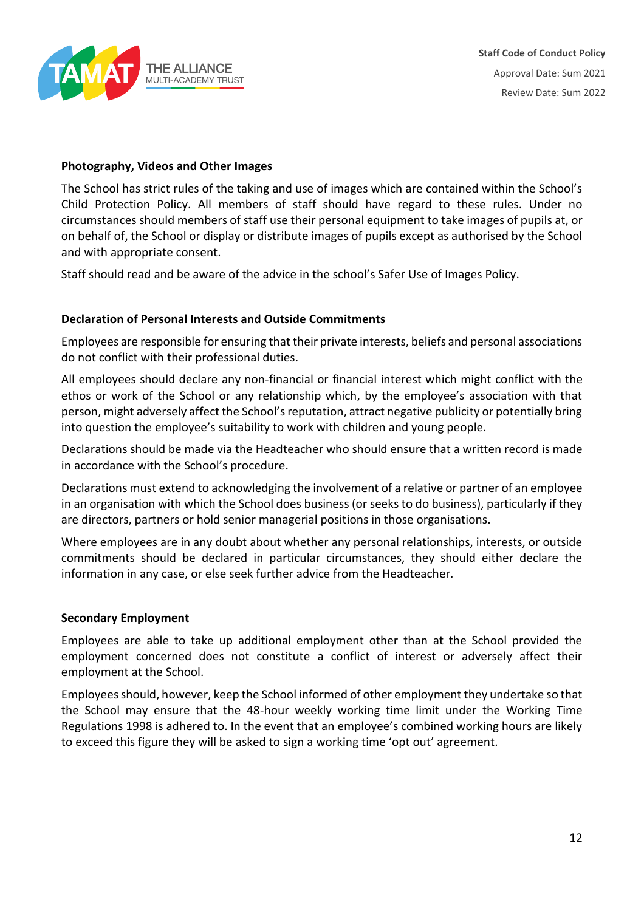

## **Photography, Videos and Other Images**

The School has strict rules of the taking and use of images which are contained within the School's Child Protection Policy. All members of staff should have regard to these rules. Under no circumstances should members of staff use their personal equipment to take images of pupils at, or on behalf of, the School or display or distribute images of pupils except as authorised by the School and with appropriate consent.

Staff should read and be aware of the advice in the school's Safer Use of Images Policy.

## **Declaration of Personal Interests and Outside Commitments**

Employees are responsible for ensuring that their private interests, beliefs and personal associations do not conflict with their professional duties.

All employees should declare any non-financial or financial interest which might conflict with the ethos or work of the School or any relationship which, by the employee's association with that person, might adversely affect the School's reputation, attract negative publicity or potentially bring into question the employee's suitability to work with children and young people.

Declarations should be made via the Headteacher who should ensure that a written record is made in accordance with the School's procedure.

Declarations must extend to acknowledging the involvement of a relative or partner of an employee in an organisation with which the School does business (or seeks to do business), particularly if they are directors, partners or hold senior managerial positions in those organisations.

Where employees are in any doubt about whether any personal relationships, interests, or outside commitments should be declared in particular circumstances, they should either declare the information in any case, or else seek further advice from the Headteacher.

## **Secondary Employment**

Employees are able to take up additional employment other than at the School provided the employment concerned does not constitute a conflict of interest or adversely affect their employment at the School.

Employees should, however, keep the School informed of other employment they undertake so that the School may ensure that the 48-hour weekly working time limit under the Working Time Regulations 1998 is adhered to. In the event that an employee's combined working hours are likely to exceed this figure they will be asked to sign a working time 'opt out' agreement.